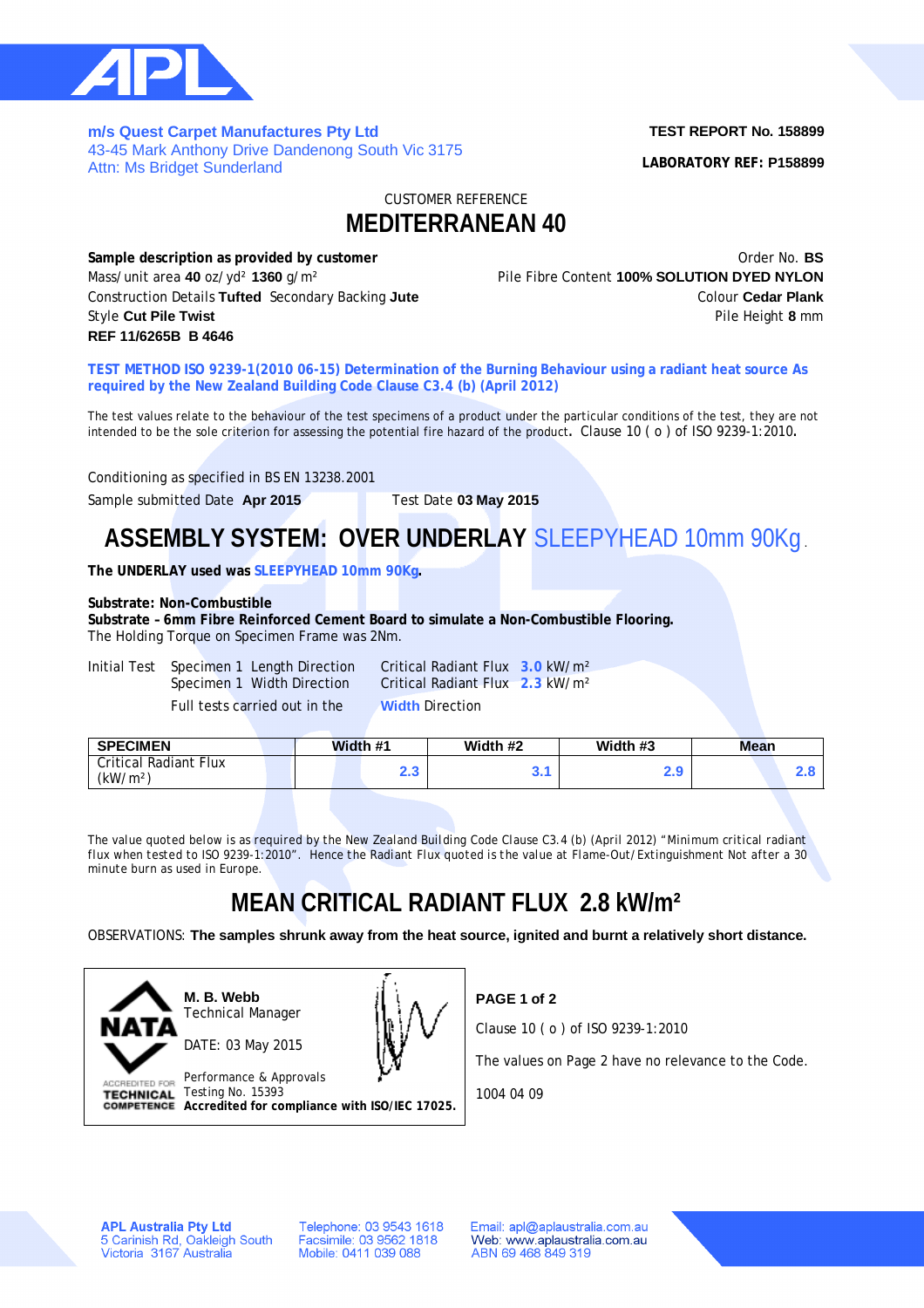

**m/s Quest Carpet Manufactures Pty Ltd**  43-45 Mark Anthony Drive Dandenong South Vic 3175 Attn: Ms Bridget Sunderland

### **TEST REPORT No. 158899**

**LABORATORY REF: P158899**

CUSTOMER REFERENCE

### **MEDITERRANEAN 40**

**Sample description as provided by customer Constanting Constanting Constanting Order No. <b>BS** Order No. **BS** Mass/unit area **40** oz/yd² **1360** g/m² Pile Fibre Content **100% SOLUTION DYED NYLON Construction Details Tufted** Secondary Backing Jute **Construction Cedar Plank** Colour Cedar Plank Style **Cut Pile Twist 8** mm **REF 11/6265B B 4646**

**TEST METHOD ISO 9239-1(2010 06-15) Determination of the Burning Behaviour using a radiant heat source As required by the New Zealand Building Code Clause C3.4 (b) (April 2012)**

The test values relate to the behaviour of the test specimens of a product under the particular conditions of the test, they are not intended to be the sole criterion for assessing the potential fire hazard of the product**.** Clause 10 ( o ) of ISO 9239-1:2010**.**

Conditioning as specified in BS EN 13238.2001

Sample submitted Date **Apr 2015** Test Date **03 May 2015**

# **ASSEMBLY SYSTEM: OVER UNDERLAY** SLEEPYHEAD 10mm 90Kg .

**The UNDERLAY used was SLEEPYHEAD 10mm 90Kg.**

#### **Substrate: Non-Combustible**

**Substrate – 6mm Fibre Reinforced Cement Board to simulate a Non-Combustible Flooring.** The Holding Torque on Specimen Frame was 2Nm.

| Initial Test | Specimen 1 Length Direction   | Critical Radiant       |
|--------------|-------------------------------|------------------------|
|              | Specimen 1 Width Direction    | Critical Radiant       |
|              | Full tests carried out in the | <b>Width Direction</b> |

In Critical Radiant Flux 3.0 kW/m<sup>2</sup> Specifical Radiant Flux **2.3** kW/m<sup>2</sup>

| <b>SPECIMEN</b>                               |  | Width #1 | Width #2 | Width #3 | Mean |     |
|-----------------------------------------------|--|----------|----------|----------|------|-----|
| Critical Radiant Flux<br>(kW/m <sup>2</sup> ) |  | ົ<br>2.J |          | 2.9      |      | c.u |
|                                               |  |          |          |          |      |     |

*The value quoted below is as required by the New Zealand Building Code Clause C3.4 (b) (April 2012) "Minimum critical radiant flux when tested to ISO 9239-1:2010". Hence the Radiant Flux quoted is the value at Flame-Out/Extinguishment Not after a 30 minute burn as used in Europe.*

## **MEAN CRITICAL RADIANT FLUX 2.8 kW/m²**

OBSERVATIONS: **The samples shrunk away from the heat source, ignited and burnt a relatively short distance.**



**M. B. Webb** Technical Manager



Performance & Approvals ACCREDITED FOR Testing No. 15393 **TECHNICAL Accredited for compliance with ISO/IEC 17025.** **PAGE 1 of 2**

Clause 10 ( o ) of ISO 9239-1:2010

The values on Page 2 have no relevance to the Code.

1004 04 09

**APL Australia Pty Ltd** 5 Carinish Rd, Oakleigh South<br>Victoria 3167 Australia Telephone: 03 9543 1618 Facsimile: 03 9562 1818 Mobile: 0411 039 088

Email: apl@aplaustralia.com.au Web: www.aplaustralia.com.au ABN 69 468 849 319